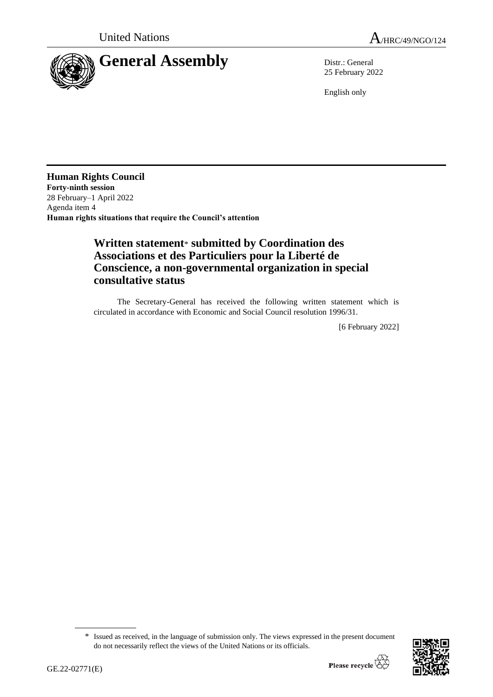



25 February 2022

English only

**Human Rights Council Forty-ninth session** 28 February–1 April 2022 Agenda item 4 **Human rights situations that require the Council's attention**

## **Written statement**\* **submitted by Coordination des Associations et des Particuliers pour la Liberté de Conscience, a non-governmental organization in special consultative status**

The Secretary-General has received the following written statement which is circulated in accordance with Economic and Social Council resolution 1996/31.

[6 February 2022]

<sup>\*</sup> Issued as received, in the language of submission only. The views expressed in the present document do not necessarily reflect the views of the United Nations or its officials.

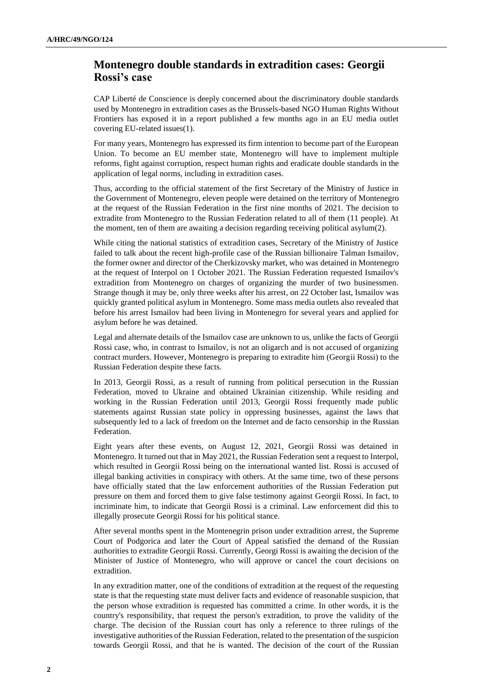## **Montenegro double standards in extradition cases: Georgii Rossi's case**

CAP Liberté de Conscience is deeply concerned about the discriminatory double standards used by Montenegro in extradition cases as the Brussels-based NGO Human Rights Without Frontiers has exposed it in a report published a few months ago in an EU media outlet covering EU-related issues(1).

For many years, Montenegro has expressed its firm intention to become part of the European Union. To become an EU member state, Montenegro will have to implement multiple reforms, fight against corruption, respect human rights and eradicate double standards in the application of legal norms, including in extradition cases.

Thus, according to the official statement of the first Secretary of the Ministry of Justice in the Government of Montenegro, eleven people were detained on the territory of Montenegro at the request of the Russian Federation in the first nine months of 2021. The decision to extradite from Montenegro to the Russian Federation related to all of them (11 people). At the moment, ten of them are awaiting a decision regarding receiving political asylum(2).

While citing the national statistics of extradition cases, Secretary of the Ministry of Justice failed to talk about the recent high-profile case of the Russian billionaire Talman Ismailov, the former owner and director of the Cherkizovsky market, who was detained in Montenegro at the request of Interpol on 1 October 2021. The Russian Federation requested Ismailov's extradition from Montenegro on charges of organizing the murder of two businessmen. Strange though it may be, only three weeks after his arrest, on 22 October last, Ismailov was quickly granted political asylum in Montenegro. Some mass media outlets also revealed that before his arrest Ismailov had been living in Montenegro for several years and applied for asylum before he was detained.

Legal and alternate details of the Ismailov case are unknown to us, unlike the facts of Georgii Rossi case, who, in contrast to Ismailov, is not an oligarch and is not accused of organizing contract murders. However, Montenegro is preparing to extradite him (Georgii Rossi) to the Russian Federation despite these facts.

In 2013, Georgii Rossi, as a result of running from political persecution in the Russian Federation, moved to Ukraine and obtained Ukrainian citizenship. While residing and working in the Russian Federation until 2013, Georgii Rossi frequently made public statements against Russian state policy in oppressing businesses, against the laws that subsequently led to a lack of freedom on the Internet and de facto censorship in the Russian Federation.

Eight years after these events, on August 12, 2021, Georgii Rossi was detained in Montenegro. It turned out that in May 2021, the Russian Federation sent a request to Interpol, which resulted in Georgii Rossi being on the international wanted list. Rossi is accused of illegal banking activities in conspiracy with others. At the same time, two of these persons have officially stated that the law enforcement authorities of the Russian Federation put pressure on them and forced them to give false testimony against Georgii Rossi. In fact, to incriminate him, to indicate that Georgii Rossi is a criminal. Law enforcement did this to illegally prosecute Georgii Rossi for his political stance.

After several months spent in the Montenegrin prison under extradition arrest, the Supreme Court of Podgorica and later the Court of Appeal satisfied the demand of the Russian authorities to extradite Georgii Rossi. Currently, Georgi Rossi is awaiting the decision of the Minister of Justice of Montenegro, who will approve or cancel the court decisions on extradition.

In any extradition matter, one of the conditions of extradition at the request of the requesting state is that the requesting state must deliver facts and evidence of reasonable suspicion, that the person whose extradition is requested has committed a crime. In other words, it is the country's responsibility, that request the person's extradition, to prove the validity of the charge. The decision of the Russian court has only a reference to three rulings of the investigative authorities of the Russian Federation, related to the presentation of the suspicion towards Georgii Rossi, and that he is wanted. The decision of the court of the Russian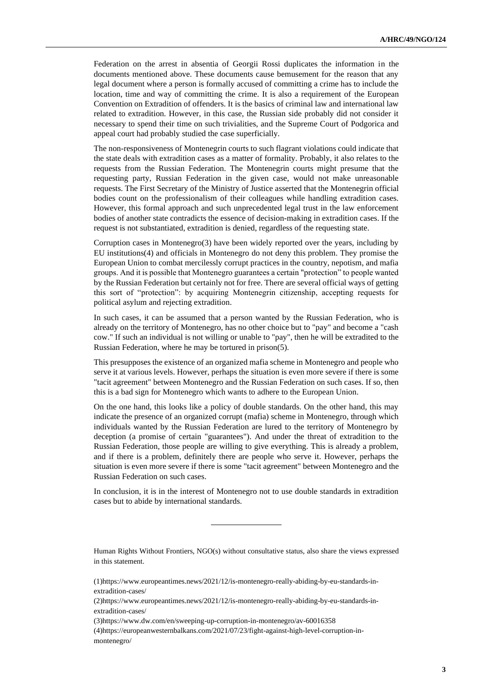Federation on the arrest in absentia of Georgii Rossi duplicates the information in the documents mentioned above. These documents cause bemusement for the reason that any legal document where a person is formally accused of committing a crime has to include the location, time and way of committing the crime. It is also a requirement of the European Convention on Extradition of offenders. It is the basics of criminal law and international law related to extradition. However, in this case, the Russian side probably did not consider it necessary to spend their time on such trivialities, and the Supreme Court of Podgorica and appeal court had probably studied the case superficially.

The non-responsiveness of Montenegrin courts to such flagrant violations could indicate that the state deals with extradition cases as a matter of formality. Probably, it also relates to the requests from the Russian Federation. The Montenegrin courts might presume that the requesting party, Russian Federation in the given case, would not make unreasonable requests. The First Secretary of the Ministry of Justice asserted that the Montenegrin official bodies count on the professionalism of their colleagues while handling extradition cases. However, this formal approach and such unprecedented legal trust in the law enforcement bodies of another state contradicts the essence of decision-making in extradition cases. If the request is not substantiated, extradition is denied, regardless of the requesting state.

Corruption cases in Montenegro(3) have been widely reported over the years, including by EU institutions(4) and officials in Montenegro do not deny this problem. They promise the European Union to combat mercilessly corrupt practices in the country, nepotism, and mafia groups. And it is possible that Montenegro guarantees a certain "protection" to people wanted by the Russian Federation but certainly not for free. There are several official ways of getting this sort of "protection": by acquiring Montenegrin citizenship, accepting requests for political asylum and rejecting extradition.

In such cases, it can be assumed that a person wanted by the Russian Federation, who is already on the territory of Montenegro, has no other choice but to "pay" and become a "cash cow." If such an individual is not willing or unable to "pay", then he will be extradited to the Russian Federation, where he may be tortured in prison(5).

This presupposes the existence of an organized mafia scheme in Montenegro and people who serve it at various levels. However, perhaps the situation is even more severe if there is some "tacit agreement" between Montenegro and the Russian Federation on such cases. If so, then this is a bad sign for Montenegro which wants to adhere to the European Union.

On the one hand, this looks like a policy of double standards. On the other hand, this may indicate the presence of an organized corrupt (mafia) scheme in Montenegro, through which individuals wanted by the Russian Federation are lured to the territory of Montenegro by deception (a promise of certain "guarantees"). And under the threat of extradition to the Russian Federation, those people are willing to give everything. This is already a problem, and if there is a problem, definitely there are people who serve it. However, perhaps the situation is even more severe if there is some "tacit agreement" between Montenegro and the Russian Federation on such cases.

In conclusion, it is in the interest of Montenegro not to use double standards in extradition cases but to abide by international standards.

Human Rights Without Frontiers, NGO(s) without consultative status, also share the views expressed in this statement.

(1)https://www.europeantimes.news/2021/12/is-montenegro-really-abiding-by-eu-standards-inextradition-cases/

(2)https://www.europeantimes.news/2021/12/is-montenegro-really-abiding-by-eu-standards-inextradition-cases/

(3)https://www.dw.com/en/sweeping-up-corruption-in-montenegro/av-60016358

(4)https://europeanwesternbalkans.com/2021/07/23/fight-against-high-level-corruption-inmontenegro/